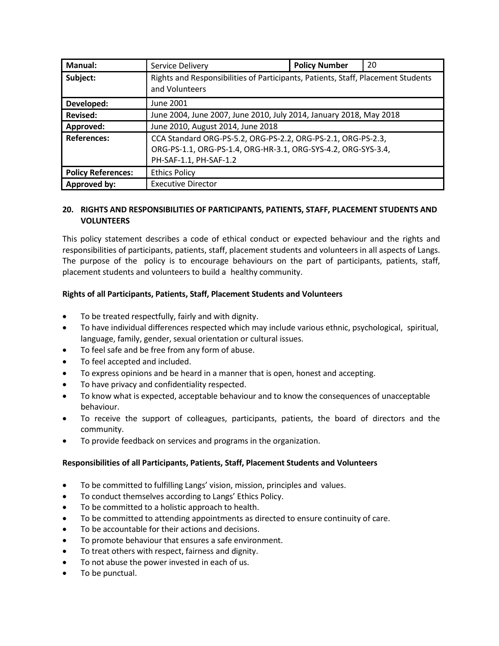| <b>Manual:</b>            | Service Delivery                                                                                                                                        | <b>Policy Number</b> | 20 |
|---------------------------|---------------------------------------------------------------------------------------------------------------------------------------------------------|----------------------|----|
| Subject:                  | Rights and Responsibilities of Participants, Patients, Staff, Placement Students<br>and Volunteers                                                      |                      |    |
| Developed:                | June 2001                                                                                                                                               |                      |    |
| <b>Revised:</b>           | June 2004, June 2007, June 2010, July 2014, January 2018, May 2018                                                                                      |                      |    |
| Approved:                 | June 2010, August 2014, June 2018                                                                                                                       |                      |    |
| <b>References:</b>        | CCA Standard ORG-PS-5.2, ORG-PS-2.2, ORG-PS-2.1, ORG-PS-2.3,<br>ORG-PS-1.1, ORG-PS-1.4, ORG-HR-3.1, ORG-SYS-4.2, ORG-SYS-3.4,<br>PH-SAF-1.1, PH-SAF-1.2 |                      |    |
| <b>Policy References:</b> | <b>Ethics Policy</b>                                                                                                                                    |                      |    |
| Approved by:              | <b>Executive Director</b>                                                                                                                               |                      |    |

### **20. RIGHTS AND RESPONSIBILITIES OF PARTICIPANTS, PATIENTS, STAFF, PLACEMENT STUDENTS AND VOLUNTEERS**

This policy statement describes a code of ethical conduct or expected behaviour and the rights and responsibilities of participants, patients, staff, placement students and volunteers in all aspects of Langs. The purpose of the policy is to encourage behaviours on the part of participants, patients, staff, placement students and volunteers to build a healthy community.

# **Rights of all Participants, Patients, Staff, Placement Students and Volunteers**

- To be treated respectfully, fairly and with dignity.
- To have individual differences respected which may include various ethnic, psychological, spiritual, language, family, gender, sexual orientation or cultural issues.
- To feel safe and be free from any form of abuse.
- To feel accepted and included.
- To express opinions and be heard in a manner that is open, honest and accepting.
- To have privacy and confidentiality respected.
- To know what is expected, acceptable behaviour and to know the consequences of unacceptable behaviour.
- To receive the support of colleagues, participants, patients, the board of directors and the community.
- To provide feedback on services and programs in the organization.

### **Responsibilities of all Participants, Patients, Staff, Placement Students and Volunteers**

- To be committed to fulfilling Langs' vision, mission, principles and values.
- To conduct themselves according to Langs' Ethics Policy.
- To be committed to a holistic approach to health.
- To be committed to attending appointments as directed to ensure continuity of care.
- To be accountable for their actions and decisions.
- To promote behaviour that ensures a safe environment.
- To treat others with respect, fairness and dignity.
- To not abuse the power invested in each of us.
- To be punctual.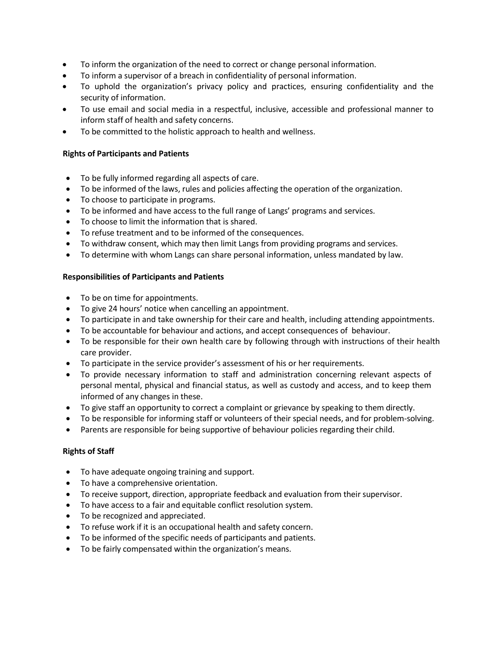- To inform the organization of the need to correct or change personal information.
- To inform a supervisor of a breach in confidentiality of personal information.
- To uphold the organization's privacy policy and practices, ensuring confidentiality and the security of information.
- To use email and social media in a respectful, inclusive, accessible and professional manner to inform staff of health and safety concerns.
- To be committed to the holistic approach to health and wellness.

### **Rights of Participants and Patients**

- To be fully informed regarding all aspects of care.
- To be informed of the laws, rules and policies affecting the operation of the organization.
- To choose to participate in programs.
- To be informed and have access to the full range of Langs' programs and services.
- To choose to limit the information that is shared.
- To refuse treatment and to be informed of the consequences.
- To withdraw consent, which may then limit Langs from providing programs and services.
- To determine with whom Langs can share personal information, unless mandated by law.

### **Responsibilities of Participants and Patients**

- To be on time for appointments.
- To give 24 hours' notice when cancelling an appointment.
- To participate in and take ownership for their care and health, including attending appointments.
- To be accountable for behaviour and actions, and accept consequences of behaviour.
- To be responsible for their own health care by following through with instructions of their health care provider.
- To participate in the service provider's assessment of his or her requirements.
- To provide necessary information to staff and administration concerning relevant aspects of personal mental, physical and financial status, as well as custody and access, and to keep them informed of any changes in these.
- To give staff an opportunity to correct a complaint or grievance by speaking to them directly.
- To be responsible for informing staff or volunteers of their special needs, and for problem-solving.
- Parents are responsible for being supportive of behaviour policies regarding their child.

# **Rights of Staff**

- To have adequate ongoing training and support.
- To have a comprehensive orientation.
- To receive support, direction, appropriate feedback and evaluation from their supervisor.
- To have access to a fair and equitable conflict resolution system.
- To be recognized and appreciated.
- To refuse work if it is an occupational health and safety concern.
- To be informed of the specific needs of participants and patients.
- To be fairly compensated within the organization's means.